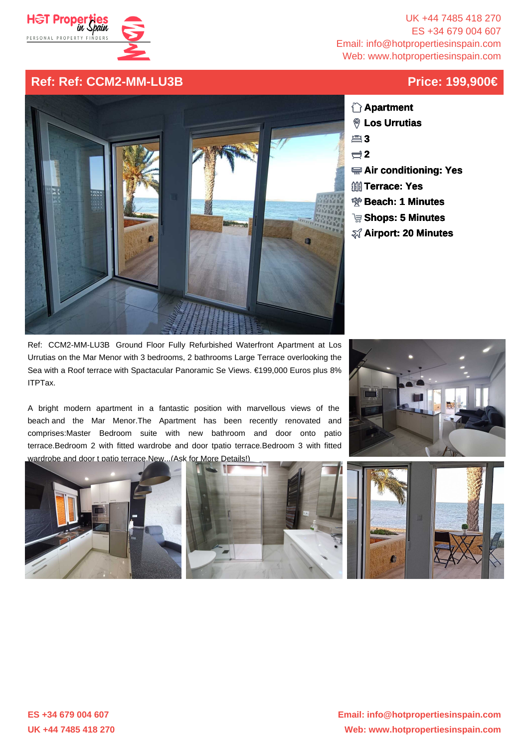

UK +44 7485 418 270 ES +34 679 004 607 Email: info@hotpropertiesinspain.com Web: www.hotpropertiesinspain.com

## **Ref: Ref: CCM2-MM-LU3B Price: 199,900€**



- **Apartment Los Urrutias**
- **3**
- **2**
- **Air conditioning: Yes**
- **<b>Terrace: Yes**
- **Beach: 1 Minutes**
- **Shops: 5 Minutes**
- **Airport: 20 Minutes**

Ref: CCM2-MM-LU3B Ground Floor Fully Refurbished Waterfront Apartment at Los Urrutias on the Mar Menor with 3 bedrooms, 2 bathrooms Large Terrace overlooking the Sea with a Roof terrace with Spactacular Panoramic Se Views. €199,000 Euros plus 8% ITPTax.

 A bright modern apartment in a fantastic position with marvellous views of the beach and the Mar Menor.The Apartment has been recently renovated and comprises:Master Bedroom suite with new bathroom and door onto patio terrace.Bedroom 2 with fitted wardrobe and door tpatio terrace.Bedroom 3 with fitted wardrobe and door t patio terrace.New...(Ask for More Details!)